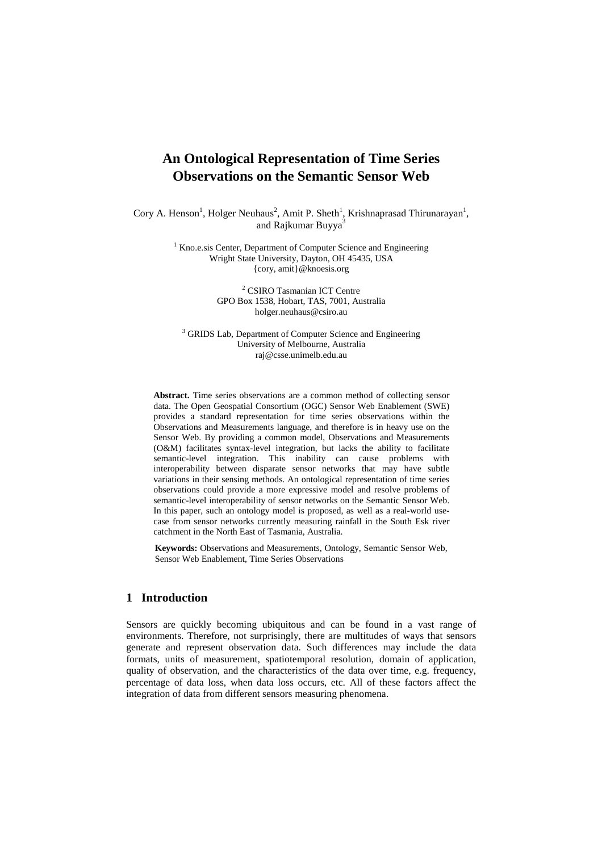# **An Ontological Representation of Time Series Observations on the Semantic Sensor Web**

Cory A. Henson<sup>1</sup>, Holger Neuhaus<sup>2</sup>, Amit P. Sheth<sup>1</sup>, Krishnaprasad Thirunarayan<sup>1</sup>, and Rajkumar Buyya<sup>3</sup>

> <sup>1</sup> Kno.e.sis Center, Department of Computer Science and Engineering Wright State University, Dayton, OH 45435, USA {cory, amit}@knoesis.org

> > 2 CSIRO Tasmanian ICT Centre GPO Box 1538, Hobart, TAS, 7001, Australia holger.neuhaus@csiro.au

<sup>3</sup> GRIDS Lab, Department of Computer Science and Engineering University of Melbourne, Australia raj@csse.unimelb.edu.au

**Abstract.** Time series observations are a common method of collecting sensor data. The Open Geospatial Consortium (OGC) Sensor Web Enablement (SWE) provides a standard representation for time series observations within the Observations and Measurements language, and therefore is in heavy use on the Sensor Web. By providing a common model, Observations and Measurements (O&M) facilitates syntax-level integration, but lacks the ability to facilitate semantic-level integration. This inability can cause problems with interoperability between disparate sensor networks that may have subtle variations in their sensing methods. An ontological representation of time series observations could provide a more expressive model and resolve problems of semantic-level interoperability of sensor networks on the Semantic Sensor Web. In this paper, such an ontology model is proposed, as well as a real-world usecase from sensor networks currently measuring rainfall in the South Esk river catchment in the North East of Tasmania, Australia.

**Keywords:** Observations and Measurements, Ontology, Semantic Sensor Web, Sensor Web Enablement, Time Series Observations

# **1 Introduction**

Sensors are quickly becoming ubiquitous and can be found in a vast range of environments. Therefore, not surprisingly, there are multitudes of ways that sensors generate and represent observation data. Such differences may include the data formats, units of measurement, spatiotemporal resolution, domain of application, quality of observation, and the characteristics of the data over time, e.g. frequency, percentage of data loss, when data loss occurs, etc. All of these factors affect the integration of data from different sensors measuring phenomena.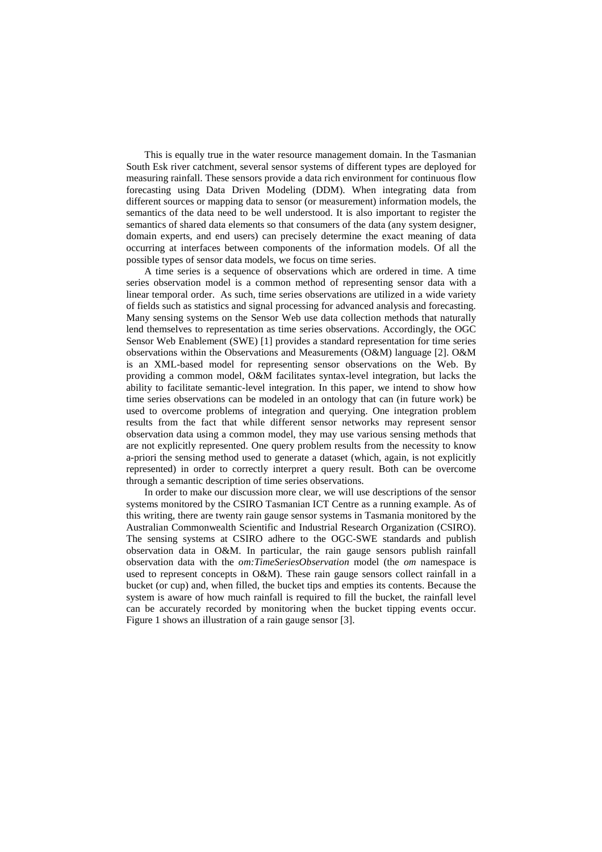This is equally true in the water resource management domain. In the Tasmanian South Esk river catchment, several sensor systems of different types are deployed for measuring rainfall. These sensors provide a data rich environment for continuous flow forecasting using Data Driven Modeling (DDM). When integrating data from different sources or mapping data to sensor (or measurement) information models, the semantics of the data need to be well understood. It is also important to register the semantics of shared data elements so that consumers of the data (any system designer, domain experts, and end users) can precisely determine the exact meaning of data occurring at interfaces between components of the information models. Of all the possible types of sensor data models, we focus on time series.

A time series is a sequence of observations which are ordered in time. A time series observation model is a common method of representing sensor data with a linear temporal order. As such, time series observations are utilized in a wide variety of fields such as statistics and signal processing for advanced analysis and forecasting. Many sensing systems on the Sensor Web use data collection methods that naturally lend themselves to representation as time series observations. Accordingly, the OGC Sensor Web Enablement (SWE) [1] provides a standard representation for time series observations within the Observations and Measurements (O&M) language [2]. O&M is an XML-based model for representing sensor observations on the Web. By providing a common model, O&M facilitates syntax-level integration, but lacks the ability to facilitate semantic-level integration. In this paper, we intend to show how time series observations can be modeled in an ontology that can (in future work) be used to overcome problems of integration and querying. One integration problem results from the fact that while different sensor networks may represent sensor observation data using a common model, they may use various sensing methods that are not explicitly represented. One query problem results from the necessity to know a-priori the sensing method used to generate a dataset (which, again, is not explicitly represented) in order to correctly interpret a query result. Both can be overcome through a semantic description of time series observations.

In order to make our discussion more clear, we will use descriptions of the sensor systems monitored by the CSIRO Tasmanian ICT Centre as a running example. As of this writing, there are twenty rain gauge sensor systems in Tasmania monitored by the Australian Commonwealth Scientific and Industrial Research Organization (CSIRO). The sensing systems at CSIRO adhere to the OGC-SWE standards and publish observation data in O&M. In particular, the rain gauge sensors publish rainfall observation data with the *om:TimeSeriesObservation* model (the *om* namespace is used to represent concepts in O&M). These rain gauge sensors collect rainfall in a bucket (or cup) and, when filled, the bucket tips and empties its contents. Because the system is aware of how much rainfall is required to fill the bucket, the rainfall level can be accurately recorded by monitoring when the bucket tipping events occur. Figure 1 shows an illustration of a rain gauge sensor [3].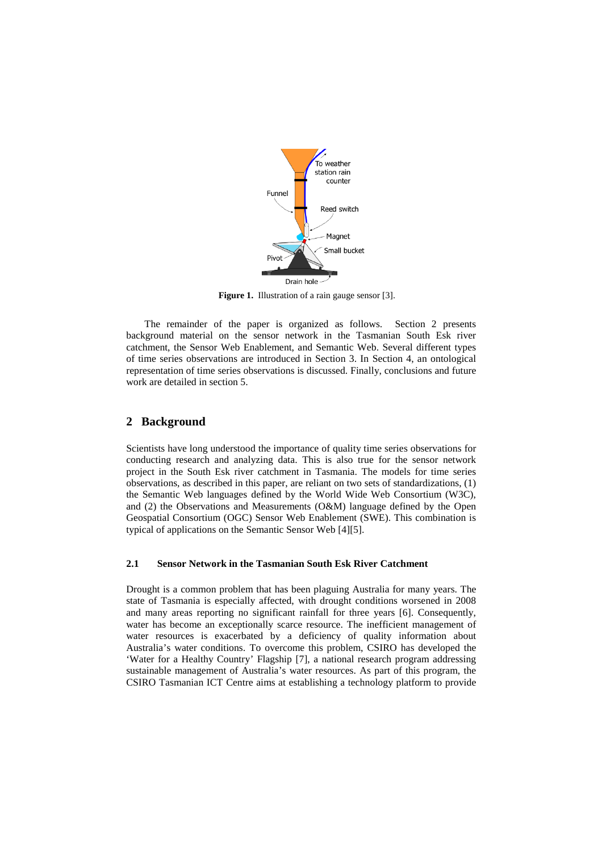

**Figure 1.** Illustration of a rain gauge sensor [3].

The remainder of the paper is organized as follows. Section 2 presents background material on the sensor network in the Tasmanian South Esk river catchment, the Sensor Web Enablement, and Semantic Web. Several different types of time series observations are introduced in Section 3. In Section 4, an ontological representation of time series observations is discussed. Finally, conclusions and future work are detailed in section 5.

# **2 Background**

Scientists have long understood the importance of quality time series observations for conducting research and analyzing data. This is also true for the sensor network project in the South Esk river catchment in Tasmania. The models for time series observations, as described in this paper, are reliant on two sets of standardizations, (1) the Semantic Web languages defined by the World Wide Web Consortium (W3C), and (2) the Observations and Measurements (O&M) language defined by the Open Geospatial Consortium (OGC) Sensor Web Enablement (SWE). This combination is typical of applications on the Semantic Sensor Web [4][5].

## **2.1 Sensor Network in the Tasmanian South Esk River Catchment**

Drought is a common problem that has been plaguing Australia for many years. The state of Tasmania is especially affected, with drought conditions worsened in 2008 and many areas reporting no significant rainfall for three years [6]. Consequently, water has become an exceptionally scarce resource. The inefficient management of water resources is exacerbated by a deficiency of quality information about Australia's water conditions. To overcome this problem, CSIRO has developed the 'Water for a Healthy Country' Flagship [7], a national research program addressing sustainable management of Australia's water resources. As part of this program, the CSIRO Tasmanian ICT Centre aims at establishing a technology platform to provide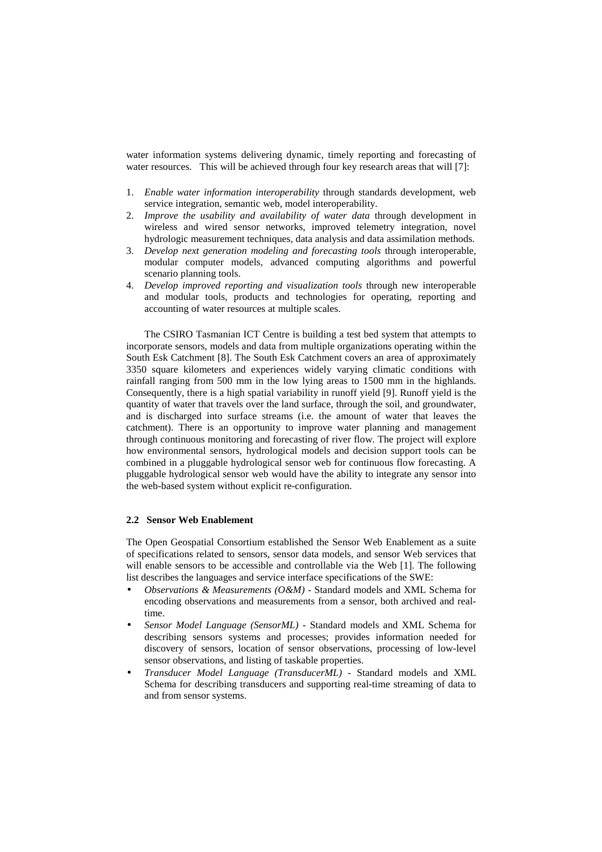water information systems delivering dynamic, timely reporting and forecasting of water resources. This will be achieved through four key research areas that will [7]:

- 1. *Enable water information interoperability* through standards development, web service integration, semantic web, model interoperability.
- 2. *Improve the usability and availability of water data* through development in wireless and wired sensor networks, improved telemetry integration, novel hydrologic measurement techniques, data analysis and data assimilation methods.
- 3. *Develop next generation modeling and forecasting tools* through interoperable, modular computer models, advanced computing algorithms and powerful scenario planning tools.
- 4. *Develop improved reporting and visualization tools* through new interoperable and modular tools, products and technologies for operating, reporting and accounting of water resources at multiple scales.

The CSIRO Tasmanian ICT Centre is building a test bed system that attempts to incorporate sensors, models and data from multiple organizations operating within the South Esk Catchment [8]. The South Esk Catchment covers an area of approximately 3350 square kilometers and experiences widely varying climatic conditions with rainfall ranging from 500 mm in the low lying areas to 1500 mm in the highlands. Consequently, there is a high spatial variability in runoff yield [9]. Runoff yield is the quantity of water that travels over the land surface, through the soil, and groundwater, and is discharged into surface streams (i.e. the amount of water that leaves the catchment). There is an opportunity to improve water planning and management through continuous monitoring and forecasting of river flow. The project will explore how environmental sensors, hydrological models and decision support tools can be combined in a pluggable hydrological sensor web for continuous flow forecasting. A pluggable hydrological sensor web would have the ability to integrate any sensor into the web-based system without explicit re-configuration.

## **2.2 Sensor Web Enablement**

The Open Geospatial Consortium established the Sensor Web Enablement as a suite of specifications related to sensors, sensor data models, and sensor Web services that will enable sensors to be accessible and controllable via the Web [1]. The following list describes the languages and service interface specifications of the SWE:

- *Observations & Measurements (O&M)* Standard models and XML Schema for encoding observations and measurements from a sensor, both archived and realtime.
- *Sensor Model Language (SensorML)* Standard models and XML Schema for describing sensors systems and processes; provides information needed for discovery of sensors, location of sensor observations, processing of low-level sensor observations, and listing of taskable properties.
- *Transducer Model Language (TransducerML)* Standard models and XML Schema for describing transducers and supporting real-time streaming of data to and from sensor systems.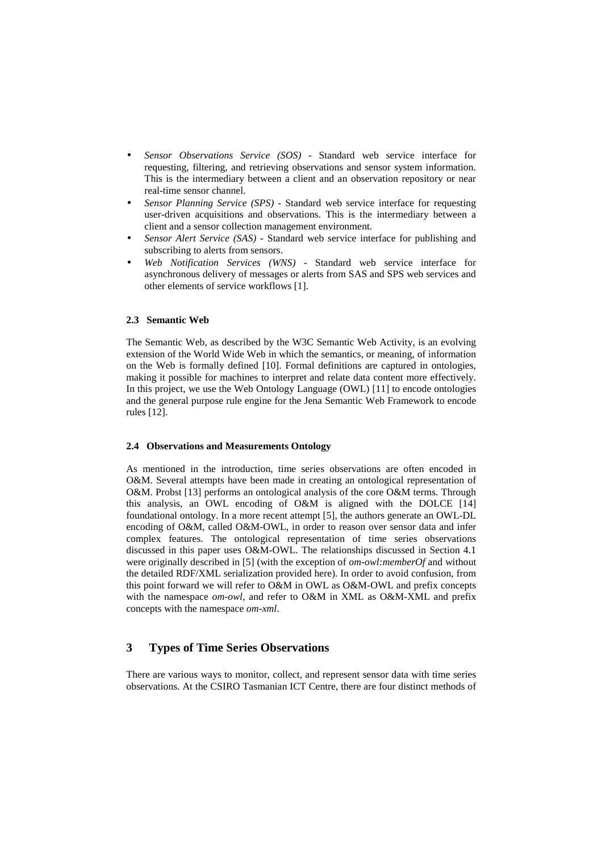- *Sensor Observations Service (SOS)* Standard web service interface for requesting, filtering, and retrieving observations and sensor system information. This is the intermediary between a client and an observation repository or near real-time sensor channel.
- *Sensor Planning Service (SPS)* Standard web service interface for requesting user-driven acquisitions and observations. This is the intermediary between a client and a sensor collection management environment.
- *Sensor Alert Service (SAS)* Standard web service interface for publishing and subscribing to alerts from sensors.
- *Web Notification Services (WNS)* Standard web service interface for asynchronous delivery of messages or alerts from SAS and SPS web services and other elements of service workflows [1].

### **2.3 Semantic Web**

The Semantic Web, as described by the W3C Semantic Web Activity, is an evolving extension of the World Wide Web in which the semantics, or meaning, of information on the Web is formally defined [10]. Formal definitions are captured in ontologies, making it possible for machines to interpret and relate data content more effectively. In this project, we use the Web Ontology Language (OWL) [11] to encode ontologies and the general purpose rule engine for the Jena Semantic Web Framework to encode rules [12].

#### **2.4 Observations and Measurements Ontology**

As mentioned in the introduction, time series observations are often encoded in O&M. Several attempts have been made in creating an ontological representation of O&M. Probst [13] performs an ontological analysis of the core O&M terms. Through this analysis, an OWL encoding of O&M is aligned with the DOLCE [14] foundational ontology. In a more recent attempt [5], the authors generate an OWL-DL encoding of O&M, called O&M-OWL, in order to reason over sensor data and infer complex features. The ontological representation of time series observations discussed in this paper uses O&M-OWL. The relationships discussed in Section 4.1 were originally described in [5] (with the exception of *om-owl:memberOf* and without the detailed RDF/XML serialization provided here). In order to avoid confusion, from this point forward we will refer to O&M in OWL as O&M-OWL and prefix concepts with the namespace *om-owl*, and refer to O&M in XML as O&M-XML and prefix concepts with the namespace *om-xml*.

# **3 Types of Time Series Observations**

There are various ways to monitor, collect, and represent sensor data with time series observations. At the CSIRO Tasmanian ICT Centre, there are four distinct methods of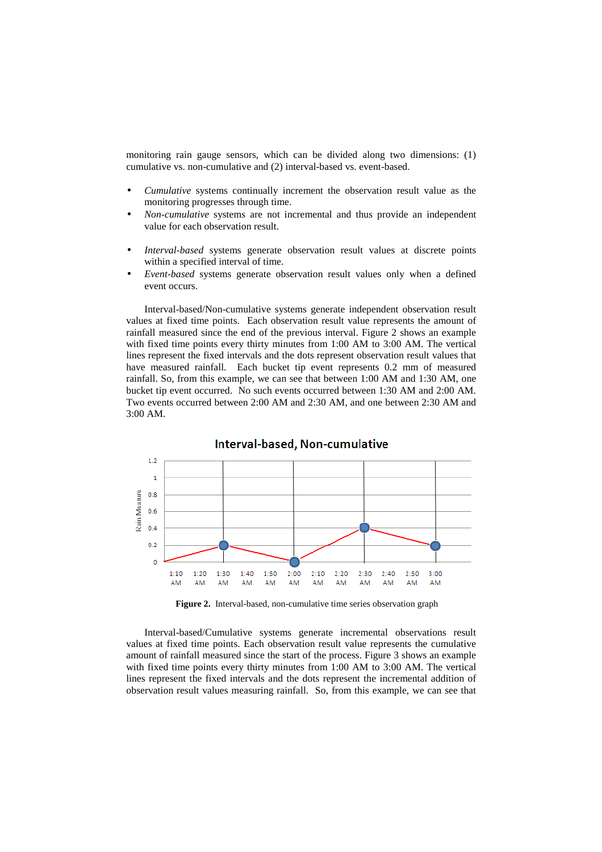monitoring rain gauge sensors, which can be divided along two dimensions: (1) cumulative vs. non-cumulative and (2) interval-based vs. event-based.

- *Cumulative* systems continually increment the observation result value as the monitoring progresses through time.
- *Non-cumulative* systems are not incremental and thus provide an independent value for each observation result.
- *Interval-based* systems generate observation result values at discrete points within a specified interval of time.
- *Event-based* systems generate observation result values only when a defined event occurs.

Interval-based/Non-cumulative systems generate independent observation result values at fixed time points. Each observation result value represents the amount of rainfall measured since the end of the previous interval. Figure 2 shows an example with fixed time points every thirty minutes from 1:00 AM to 3:00 AM. The vertical lines represent the fixed intervals and the dots represent observation result values that have measured rainfall. Each bucket tip event represents 0.2 mm of measured rainfall. So, from this example, we can see that between 1:00 AM and 1:30 AM, one bucket tip event occurred. No such events occurred between 1:30 AM and 2:00 AM. Two events occurred between 2:00 AM and 2:30 AM, and one between 2:30 AM and 3:00 AM.



**Figure 2.** Interval-based, non-cumulative time series observation graph

Interval-based/Cumulative systems generate incremental observations result values at fixed time points. Each observation result value represents the cumulative amount of rainfall measured since the start of the process. Figure 3 shows an example with fixed time points every thirty minutes from 1:00 AM to 3:00 AM. The vertical lines represent the fixed intervals and the dots represent the incremental addition of observation result values measuring rainfall. So, from this example, we can see that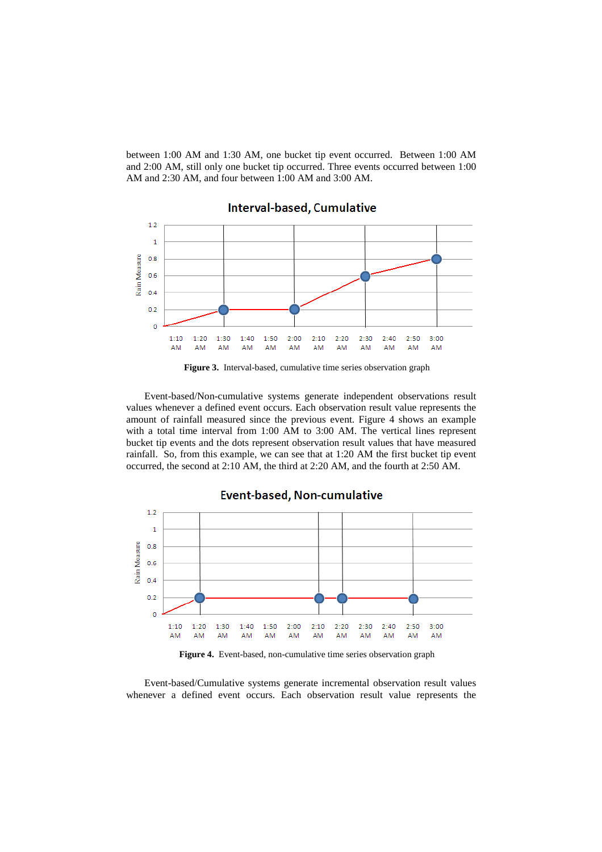between 1:00 AM and 1:30 AM, one bucket tip event occurred. Between 1:00 AM and 2:00 AM, still only one bucket tip occurred. Three events occurred between 1:00 AM and 2:30 AM, and four between 1:00 AM and 3:00 AM.



**Figure 3.** Interval-based, cumulative time series observation graph

Event-based/Non-cumulative systems generate independent observations result values whenever a defined event occurs. Each observation result value represents the amount of rainfall measured since the previous event. Figure 4 shows an example with a total time interval from 1:00 AM to 3:00 AM. The vertical lines represent bucket tip events and the dots represent observation result values that have measured rainfall. So, from this example, we can see that at 1:20 AM the first bucket tip event occurred, the second at 2:10 AM, the third at 2:20 AM, and the fourth at 2:50 AM.

**Event-based, Non-cumulative**  $1.2$  $\overline{1}$ Rain Measure  $0.8$  $0.6$  $0.4$  $0.2$  $\overline{0}$  $2:00$  $2:10$  $1:10$  $1:20$  $1:30$  $1:40$  $1:50$  $2:20$  $2:30$  $2:40$  $2:50$  $3:00$ AM **AM** AM AM AM AM AM AM AM AM AM AM

**Figure 4.** Event-based, non-cumulative time series observation graph

Event-based/Cumulative systems generate incremental observation result values whenever a defined event occurs. Each observation result value represents the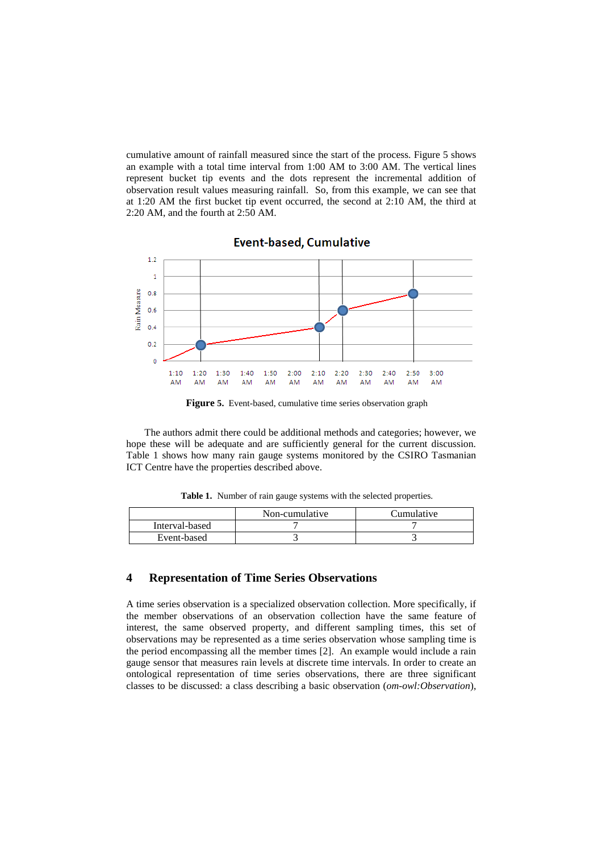cumulative amount of rainfall measured since the start of the process. Figure 5 shows an example with a total time interval from 1:00 AM to 3:00 AM. The vertical lines represent bucket tip events and the dots represent the incremental addition of observation result values measuring rainfall. So, from this example, we can see that at 1:20 AM the first bucket tip event occurred, the second at 2:10 AM, the third at 2:20 AM, and the fourth at 2:50 AM.



**Event-based, Cumulative** 

**Figure 5.** Event-based, cumulative time series observation graph

The authors admit there could be additional methods and categories; however, we hope these will be adequate and are sufficiently general for the current discussion. Table 1 shows how many rain gauge systems monitored by the CSIRO Tasmanian ICT Centre have the properties described above.

Table 1. Number of rain gauge systems with the selected properties.

|                | Non-cumulative | Cumulative |
|----------------|----------------|------------|
| Interval-based |                |            |
| Event-based    |                |            |

## **4 Representation of Time Series Observations**

A time series observation is a specialized observation collection. More specifically, if the member observations of an observation collection have the same feature of interest, the same observed property, and different sampling times, this set of observations may be represented as a time series observation whose sampling time is the period encompassing all the member times [2]. An example would include a rain gauge sensor that measures rain levels at discrete time intervals. In order to create an ontological representation of time series observations, there are three significant classes to be discussed: a class describing a basic observation (*om-owl:Observation*),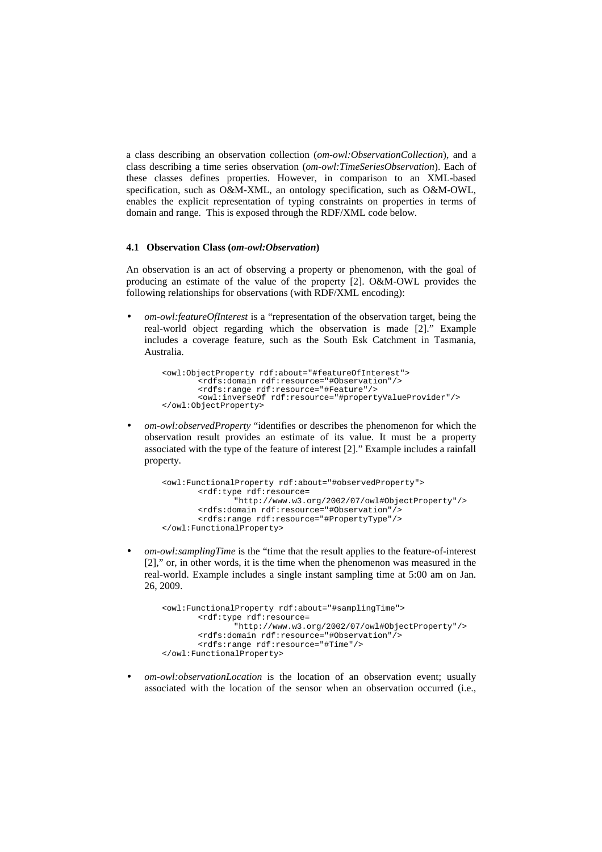a class describing an observation collection (*om-owl:ObservationCollection*), and a class describing a time series observation (*om-owl:TimeSeriesObservation*). Each of these classes defines properties. However, in comparison to an XML-based specification, such as O&M-XML, an ontology specification, such as O&M-OWL, enables the explicit representation of typing constraints on properties in terms of domain and range. This is exposed through the RDF/XML code below.

#### **4.1 Observation Class (***om-owl:Observation***)**

An observation is an act of observing a property or phenomenon, with the goal of producing an estimate of the value of the property [2]. O&M-OWL provides the following relationships for observations (with RDF/XML encoding):

• *om-owl:featureOfInterest* is a "representation of the observation target, being the real-world object regarding which the observation is made [2]." Example includes a coverage feature, such as the South Esk Catchment in Tasmania, Australia.

```
<owl:ObjectProperty rdf:about="#featureOfInterest">
       <rdfs:domain rdf:resource="#Observation"/> 
       <rdfs:range rdf:resource="#Feature"/> 
       <owl:inverseOf rdf:resource="#propertyValueProvider"/> 
</owl:ObjectProperty>
```
• *om-owl:observedProperty* "identifies or describes the phenomenon for which the observation result provides an estimate of its value. It must be a property associated with the type of the feature of interest [2]." Example includes a rainfall property.

```
<owl:FunctionalProperty rdf:about="#observedProperty"> 
       <rdf:type rdf:resource= 
               "http://www.w3.org/2002/07/owl#ObjectProperty"/> 
       <rdfs:domain rdf:resource="#Observation"/> 
       <rdfs:range rdf:resource="#PropertyType"/> 
</owl:FunctionalProperty>
```
• *om-owl:samplingTime* is the "time that the result applies to the feature-of-interest [2]," or, in other words, it is the time when the phenomenon was measured in the real-world. Example includes a single instant sampling time at 5:00 am on Jan. 26, 2009.

```
<owl:FunctionalProperty rdf:about="#samplingTime"> 
       <rdf:type rdf:resource= 
               "http://www.w3.org/2002/07/owl#ObjectProperty"/> 
       <rdfs:domain rdf:resource="#Observation"/> 
       <rdfs:range rdf:resource="#Time"/> 
</owl:FunctionalProperty>
```
• *om-owl:observationLocation* is the location of an observation event; usually associated with the location of the sensor when an observation occurred (i.e.,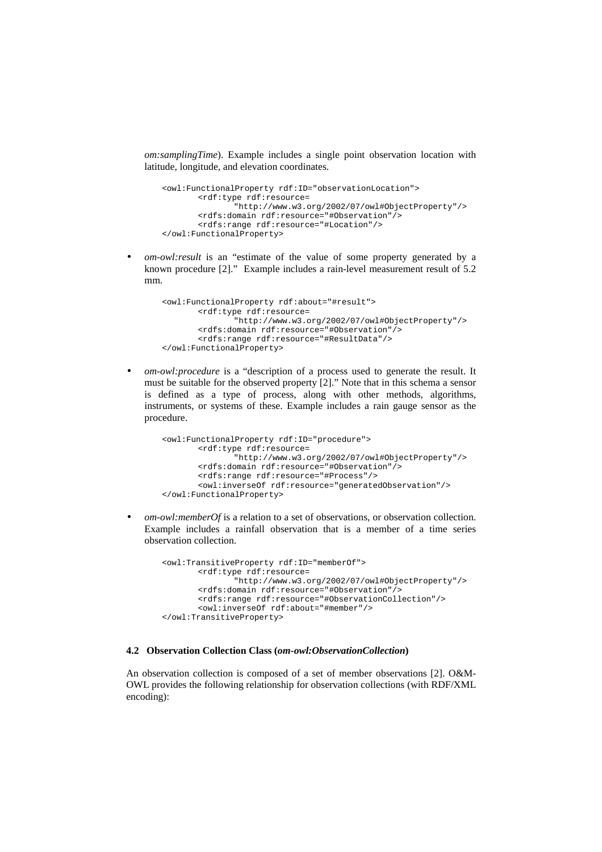*om:samplingTime*). Example includes a single point observation location with latitude, longitude, and elevation coordinates.

```
<owl:FunctionalProperty rdf:ID="observationLocation"> 
       <rdf:type rdf:resource= 
               "http://www.w3.org/2002/07/owl#ObjectProperty"/> 
       <rdfs:domain rdf:resource="#Observation"/> 
       <rdfs:range rdf:resource="#Location"/> 
</owl:FunctionalProperty>
```
• *om-owl:result* is an "estimate of the value of some property generated by a known procedure [2]." Example includes a rain-level measurement result of 5.2 mm.

```
<owl:FunctionalProperty rdf:about="#result"> 
       <rdf:type rdf:resource= 
               "http://www.w3.org/2002/07/owl#ObjectProperty"/> 
       <rdfs:domain rdf:resource="#Observation"/> 
       <rdfs:range rdf:resource="#ResultData"/> 
</owl:FunctionalProperty>
```
• *om-owl:procedure* is a "description of a process used to generate the result. It must be suitable for the observed property [2]." Note that in this schema a sensor is defined as a type of process, along with other methods, algorithms, instruments, or systems of these. Example includes a rain gauge sensor as the procedure.

```
<owl:FunctionalProperty rdf:ID="procedure"> 
       <rdf:type rdf:resource= 
               "http://www.w3.org/2002/07/owl#ObjectProperty"/> 
       <rdfs:domain rdf:resource="#Observation"/> 
       <rdfs:range rdf:resource="#Process"/> 
       <owl:inverseOf rdf:resource="generatedObservation"/> 
</owl:FunctionalProperty>
```
• *om-owl:memberOf* is a relation to a set of observations, or observation collection. Example includes a rainfall observation that is a member of a time series observation collection.

```
<owl:TransitiveProperty rdf:ID="memberOf"> 
       <rdf:type rdf:resource= 
               "http://www.w3.org/2002/07/owl#ObjectProperty"/> 
       <rdfs:domain rdf:resource="#Observation"/> 
       <rdfs:range rdf:resource="#ObservationCollection"/>
       <owl:inverseOf rdf:about="#member"/> 
</owl:TransitiveProperty>
```
### **4.2 Observation Collection Class (***om-owl:ObservationCollection***)**

An observation collection is composed of a set of member observations [2]. O&M-OWL provides the following relationship for observation collections (with RDF/XML encoding):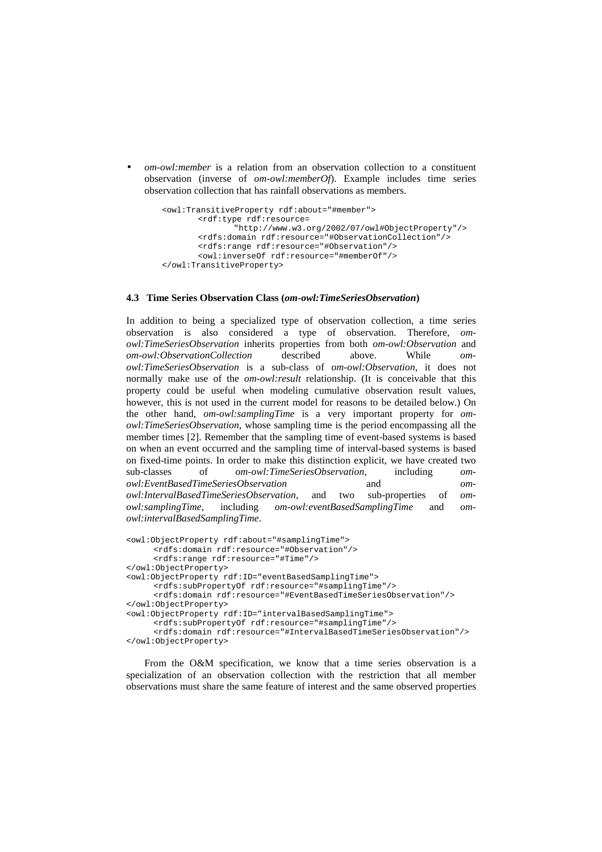• *om-owl:member* is a relation from an observation collection to a constituent observation (inverse of *om-owl:memberOf*). Example includes time series observation collection that has rainfall observations as members.

```
<owl:TransitiveProperty rdf:about="#member"> 
       <rdf:type rdf:resource= 
               "http://www.w3.org/2002/07/owl#ObjectProperty"/> 
       <rdfs:domain rdf:resource="#ObservationCollection"/> 
       <rdfs:range rdf:resource="#Observation"/> 
       <owl:inverseOf rdf:resource="#memberOf"/> 
</owl:TransitiveProperty>
```
#### **4.3 Time Series Observation Class (***om-owl:TimeSeriesObservation***)**

In addition to being a specialized type of observation collection, a time series observation is also considered a type of observation. Therefore, *omowl:TimeSeriesObservation* inherits properties from both *om-owl:Observation* and *om-owl:ObservationCollection* described above. While *omowl:TimeSeriesObservation* is a sub-class of *om-owl:Observation*, it does not normally make use of the *om-owl:result* relationship. (It is conceivable that this property could be useful when modeling cumulative observation result values, however, this is not used in the current model for reasons to be detailed below.) On the other hand, *om-owl:samplingTime* is a very important property for *omowl:TimeSeriesObservation*, whose sampling time is the period encompassing all the member times [2]. Remember that the sampling time of event-based systems is based on when an event occurred and the sampling time of interval-based systems is based on fixed-time points. In order to make this distinction explicit, we have created two sub-classes of *om-owl:TimeSeriesObservation*, including *omowl:EventBasedTimeSeriesObservation* and *omowl:IntervalBasedTimeSeriesObservation*, and two sub-properties of *omowl:samplingTime*, including *om-owl:eventBasedSamplingTime* and *omowl:intervalBasedSamplingTime*.

```
<owl:ObjectProperty rdf:about="#samplingTime"> 
     <rdfs:domain rdf:resource="#Observation"/> 
      <rdfs:range rdf:resource="#Time"/> 
</owl:ObjectProperty> 
<owl:ObjectProperty rdf:ID="eventBasedSamplingTime"> 
     <rdfs:subPropertyOf rdf:resource="#samplingTime"/> 
     <rdfs:domain rdf:resource="#EventBasedTimeSeriesObservation"/> 
</owl:ObjectProperty> 
<owl:ObjectProperty rdf:ID="intervalBasedSamplingTime"> 
     <rdfs:subPropertyOf rdf:resource="#samplingTime"/> 
      <rdfs:domain rdf:resource="#IntervalBasedTimeSeriesObservation"/> 
</owl:ObjectProperty>
```
From the O&M specification, we know that a time series observation is a specialization of an observation collection with the restriction that all member observations must share the same feature of interest and the same observed properties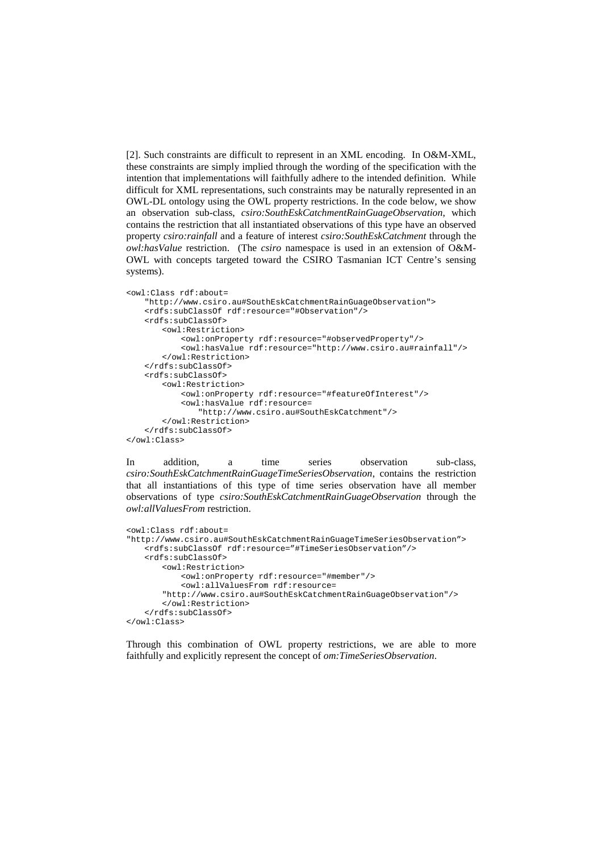[2]. Such constraints are difficult to represent in an XML encoding. In O&M-XML, these constraints are simply implied through the wording of the specification with the intention that implementations will faithfully adhere to the intended definition. While difficult for XML representations, such constraints may be naturally represented in an OWL-DL ontology using the OWL property restrictions. In the code below, we show an observation sub-class, *csiro:SouthEskCatchmentRainGuageObservation*, which contains the restriction that all instantiated observations of this type have an observed property *csiro:rainfall* and a feature of interest *csiro:SouthEskCatchment* through the *owl:hasValue* restriction. (The *csiro* namespace is used in an extension of O&M-OWL with concepts targeted toward the CSIRO Tasmanian ICT Centre's sensing systems).

```
<owl:Class rdf:about= 
   "http://www.csiro.au#SouthEskCatchmentRainGuageObservation"> 
   <rdfs:subClassOf rdf:resource="#Observation"/> 
   <rdfs:subClassOf> 
       <owl:Restriction> 
           <owl:onProperty rdf:resource="#observedProperty"/> 
           <owl:hasValue rdf:resource="http://www.csiro.au#rainfall"/> 
        </owl:Restriction> 
   </rdfs:subClassOf> 
   <rdfs:subClassOf> 
        <owl:Restriction> 
           <owl:onProperty rdf:resource="#featureOfInterest"/>
           <owl:hasValue rdf:resource= 
               "http://www.csiro.au#SouthEskCatchment"/> 
        </owl:Restriction> 
   </rdfs:subClassOf> 
</owl:Class>
```
In addition, a time series observation sub-class, *csiro:SouthEskCatchmentRainGuageTimeSeriesObservation*, contains the restriction that all instantiations of this type of time series observation have all member observations of type *csiro:SouthEskCatchmentRainGuageObservation* through the *owl:allValuesFrom* restriction.

```
<owl:Class rdf:about= 
"http://www.csiro.au#SouthEskCatchmentRainGuageTimeSeriesObservation"> 
   <rdfs:subClassOf rdf:resource="#TimeSeriesObservation"/> 
   <rdfs:subClassOf> 
       <owl:Restriction> 
           <owl:onProperty rdf:resource="#member"/> 
           <owl:allValuesFrom rdf:resource= 
       "http://www.csiro.au#SouthEskCatchmentRainGuageObservation"/> 
       </owl:Restriction> 
   </rdfs:subClassOf> 
</owl:Class>
```
Through this combination of OWL property restrictions, we are able to more faithfully and explicitly represent the concept of *om:TimeSeriesObservation*.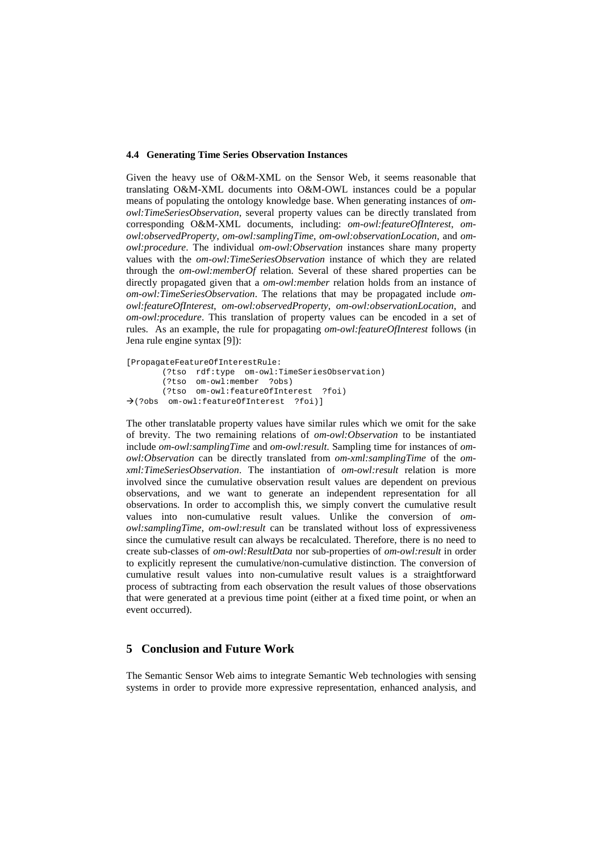#### **4.4 Generating Time Series Observation Instances**

Given the heavy use of O&M-XML on the Sensor Web, it seems reasonable that translating O&M-XML documents into O&M-OWL instances could be a popular means of populating the ontology knowledge base. When generating instances of *omowl:TimeSeriesObservation*, several property values can be directly translated from corresponding O&M-XML documents, including: *om-owl:featureOfInterest*, *omowl:observedProperty*, *om-owl:samplingTime*, *om-owl:observationLocation*, and *omowl:procedure*. The individual *om-owl:Observation* instances share many property values with the *om-owl:TimeSeriesObservation* instance of which they are related through the *om-owl:memberOf* relation. Several of these shared properties can be directly propagated given that a *om-owl:member* relation holds from an instance of *om-owl:TimeSeriesObservation*. The relations that may be propagated include *omowl:featureOfInterest*, *om-owl:observedProperty*, *om-owl:observationLocation*, and *om-owl:procedure*. This translation of property values can be encoded in a set of rules. As an example, the rule for propagating *om-owl:featureOfInterest* follows (in Jena rule engine syntax [9]):

```
[PropagateFeatureOfInterestRule: 
        (?tso rdf:type om-owl:TimeSeriesObservation) 
        (?tso om-owl:member ?obs) 
        (?tso om-owl:featureOfInterest ?foi) 
(?obs om-owl:featureOfInterest ?foi)]
```
The other translatable property values have similar rules which we omit for the sake of brevity. The two remaining relations of *om-owl:Observation* to be instantiated include *om-owl:samplingTime* and *om-owl:result*. Sampling time for instances of *omowl:Observation* can be directly translated from *om-xml:samplingTime* of the *omxml:TimeSeriesObservation*. The instantiation of *om-owl:result* relation is more involved since the cumulative observation result values are dependent on previous observations, and we want to generate an independent representation for all observations. In order to accomplish this, we simply convert the cumulative result values into non-cumulative result values. Unlike the conversion of *omowl:samplingTime*, *om-owl:result* can be translated without loss of expressiveness since the cumulative result can always be recalculated. Therefore, there is no need to create sub-classes of *om-owl:ResultData* nor sub-properties of *om-owl:result* in order to explicitly represent the cumulative/non-cumulative distinction. The conversion of cumulative result values into non-cumulative result values is a straightforward process of subtracting from each observation the result values of those observations that were generated at a previous time point (either at a fixed time point, or when an event occurred).

# **5 Conclusion and Future Work**

The Semantic Sensor Web aims to integrate Semantic Web technologies with sensing systems in order to provide more expressive representation, enhanced analysis, and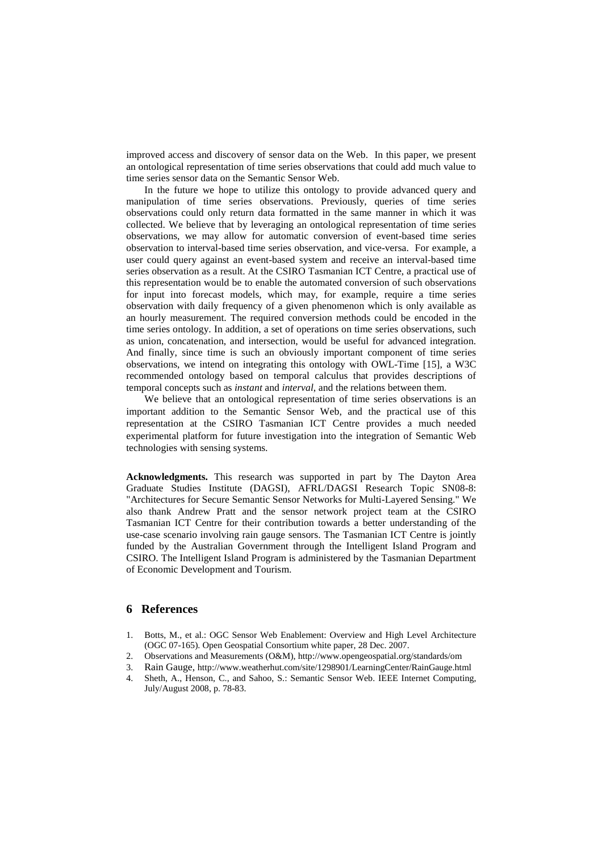improved access and discovery of sensor data on the Web. In this paper, we present an ontological representation of time series observations that could add much value to time series sensor data on the Semantic Sensor Web.

In the future we hope to utilize this ontology to provide advanced query and manipulation of time series observations. Previously, queries of time series observations could only return data formatted in the same manner in which it was collected. We believe that by leveraging an ontological representation of time series observations, we may allow for automatic conversion of event-based time series observation to interval-based time series observation, and vice-versa. For example, a user could query against an event-based system and receive an interval-based time series observation as a result. At the CSIRO Tasmanian ICT Centre, a practical use of this representation would be to enable the automated conversion of such observations for input into forecast models, which may, for example, require a time series observation with daily frequency of a given phenomenon which is only available as an hourly measurement. The required conversion methods could be encoded in the time series ontology. In addition, a set of operations on time series observations, such as union, concatenation, and intersection, would be useful for advanced integration. And finally, since time is such an obviously important component of time series observations, we intend on integrating this ontology with OWL-Time [15], a W3C recommended ontology based on temporal calculus that provides descriptions of temporal concepts such as *instant* and *interval*, and the relations between them.

We believe that an ontological representation of time series observations is an important addition to the Semantic Sensor Web, and the practical use of this representation at the CSIRO Tasmanian ICT Centre provides a much needed experimental platform for future investigation into the integration of Semantic Web technologies with sensing systems.

**Acknowledgments.** This research was supported in part by The Dayton Area Graduate Studies Institute (DAGSI), AFRL/DAGSI Research Topic SN08-8: "Architectures for Secure Semantic Sensor Networks for Multi-Layered Sensing." We also thank Andrew Pratt and the sensor network project team at the CSIRO Tasmanian ICT Centre for their contribution towards a better understanding of the use-case scenario involving rain gauge sensors. The Tasmanian ICT Centre is jointly funded by the Australian Government through the Intelligent Island Program and CSIRO. The Intelligent Island Program is administered by the Tasmanian Department of Economic Development and Tourism.

# **6 References**

- 1. Botts, M., et al.: OGC Sensor Web Enablement: Overview and High Level Architecture (OGC 07-165). Open Geospatial Consortium white paper, 28 Dec. 2007.
- 2. Observations and Measurements (O&M), http://www.opengeospatial.org/standards/om
- 3. Rain Gauge, http://www.weatherhut.com/site/1298901/LearningCenter/RainGauge.html
- 4. Sheth, A., Henson, C., and Sahoo, S.: Semantic Sensor Web. IEEE Internet Computing, July/August 2008, p. 78-83.